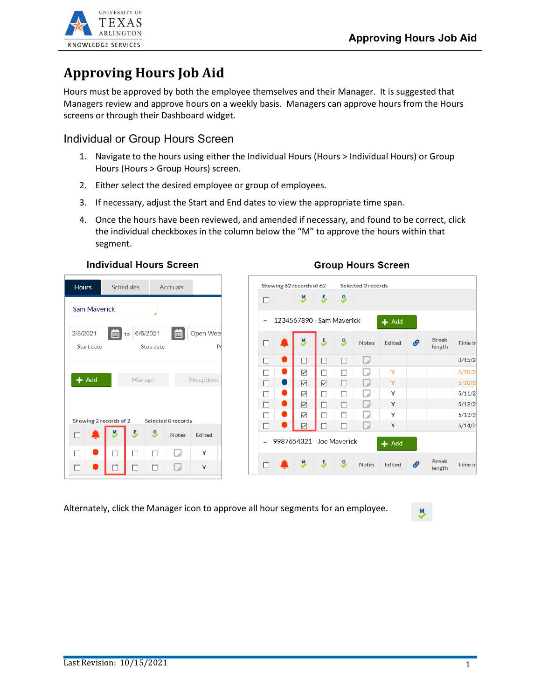

# **Approving Hours Job Aid**

Hours must be approved by both the employee themselves and their Manager. It is suggested that Managers review and approve hours on a weekly basis. Managers can approve hours from the Hours screens or through their Dashboard widget.

### Individual or Group Hours Screen

- 1. Navigate to the hours using either the Individual Hours (Hours > Individual Hours) or Group Hours (Hours > Group Hours) screen.
- 2. Either select the desired employee or group of employees.
- 3. If necessary, adjust the Start and End dates to view the appropriate time span.
- 4. Once the hours have been reviewed, and amended if necessary, and found to be correct, click the individual checkboxes in the column below the "M" to approve the hours within that segment.

| <b>Hours</b>                              | <b>Schedules</b> |           | <b>Accruals</b> |               |
|-------------------------------------------|------------------|-----------|-----------------|---------------|
| <b>Sam Maverick</b>                       |                  |           |                 |               |
| 2/8/2021                                  | to 6/6/2021      |           | 田               | Open Wee      |
| Start date                                |                  | Stop date |                 | $P_6$         |
| Showing 2 records of 2 Selected 0 records |                  |           |                 |               |
|                                           | E,               | <u>၀</u>  | <b>Notes</b>    | <b>Edited</b> |
|                                           |                  |           |                 |               |
|                                           |                  |           |                 | Y             |

### **Individual Hours Screen**

### Showing 62 records of 62 Selected 0 records  $\overline{9}$ 丛 5  $\Box$ - 1234567890 - Sam Maverick  $+$  Add M, 5  $\overline{9}$ **Break Notes** Edited  $\Box$ ٠G Time in length  $3/15/2$  $\Box$  $\bullet$  $\Box$  $\Box$  $\Box$  $\Box$  $\bullet$  $\Box$ Ÿ  $5/10/2$  $\Box$  $\overline{\smile}$  $\Box$  $\Box$  $\Box$  $\bullet$  $\overline{\smash{\vee}}$  $\overline{\vee}$  $\Box$  $\Box$ Ÿ  $5/10/2$  $\Box$ Δ  $\overline{\smile}$  $\Box$  $\Box$ D Y  $5/11/2$  $\Box$  $\bullet$  $\overline{\smile}$  $\Box$  $\Box$  $\Box$ Ÿ  $5/12/2$  $\Box$  $\Box$  $\overline{\smile}$  $\Box$ Y  $5/13/2$  $\Box$  $\bullet$  $\overline{\vee}$  $\Box$  $5/14/2$  $\Box$  $\Box$ Ÿ  $\Box$ 9987654321 - Joe Maverick L,  $+$  Add **Break** 5 <sup>9</sup> w, P  $\Box$ **Notes** Edited Time in length

Alternately, click the Manager icon to approve all hour segments for an employee.

### **Group Hours Screen**

y,